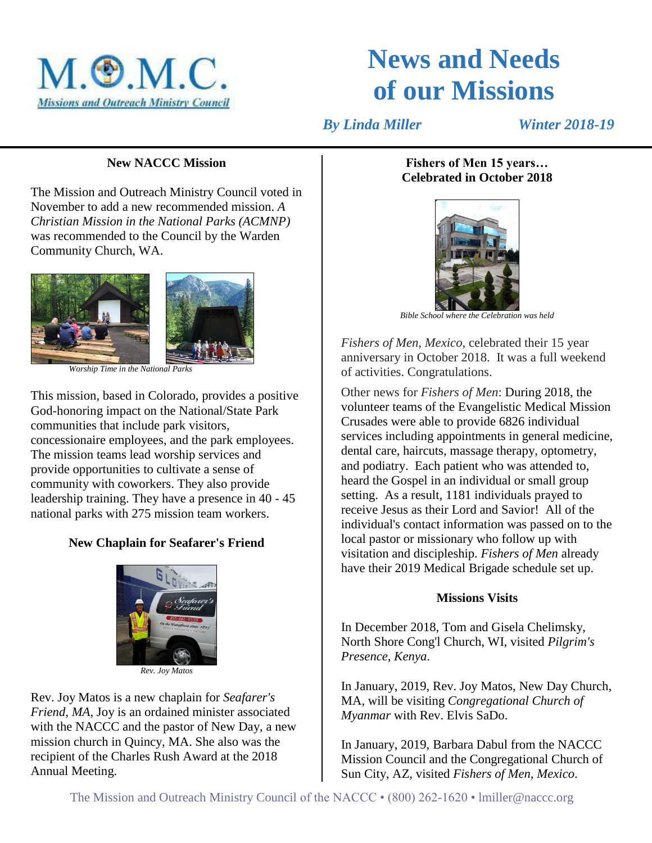

# **News and Needs of our Missions**

 *By Linda Miller Winter 2018-19*

#### **New NACCC Mission**

The Mission and Outreach Ministry Council voted in November to add a new recommended mission. *A Christian Mission in the National Parks (ACMNP)* was recommended to the Council by the Warden Community Church, WA.



This mission, based in Colorado, provides a positive God-honoring impact on the National/State Park communities that include park visitors, concessionaire employees, and the park employees. The mission teams lead worship services and provide opportunities to cultivate a sense of community with coworkers. They also provide leadership training. They have a presence in 40 - 45 national parks with 275 mission team workers.

# **New Chaplain for Seafarer's Friend**



*Rev. Joy Matos*

Rev. Joy Matos is a new chaplain for *Seafarer's Friend, MA,* Joy is an ordained minister associated with the NACCC and the pastor of New Day, a new mission church in Quincy, MA. She also was the recipient of the Charles Rush Award at the 2018 Annual Meeting.

## **Fishers of Men 15 years… Celebrated in October 2018**



*Bible School where the Celebration was held*

*Fishers of Men, Mexico*, celebrated their 15 year anniversary in October 2018. It was a full weekend of activities. Congratulations.

Other news for *Fishers of Men*: During 2018, the volunteer teams of the Evangelistic Medical Mission Crusades were able to provide 6826 individual services including appointments in general medicine, dental care, haircuts, massage therapy, optometry, and podiatry. Each patient who was attended to, heard the Gospel in an individual or small group setting. As a result, 1181 individuals prayed to receive Jesus as their Lord and Savior! All of the individual's contact information was passed on to the local pastor or missionary who follow up with visitation and discipleship. *Fishers of Men* already have their 2019 Medical Brigade schedule set up.

## **Missions Visits**

In December 2018, Tom and Gisela Chelimsky, North Shore Cong'l Church, WI, visited *Pilgrim's Presence, Kenya*.

In January, 2019, Rev. Joy Matos, New Day Church, MA, will be visiting *Congregational Church of Myanmar* with Rev. Elvis SaDo.

In January, 2019, Barbara Dabul from the NACCC Mission Council and the Congregational Church of Sun City, AZ, visited *Fishers of Men, Mexico*.